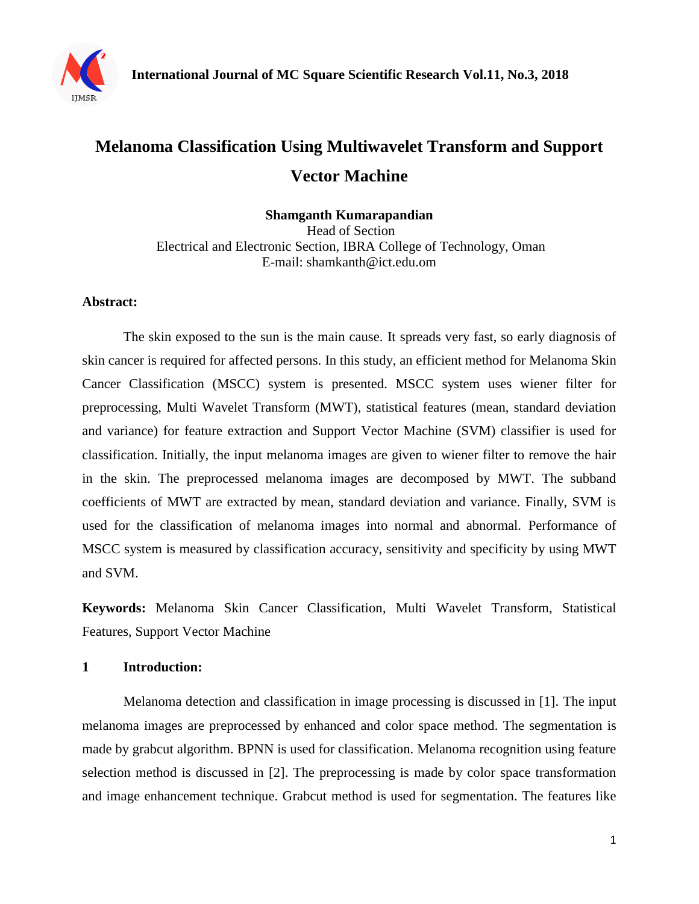

# **Melanoma Classification Using Multiwavelet Transform and Support Vector Machine**

**Shamganth Kumarapandian** Head of Section Electrical and Electronic Section, IBRA College of Technology, Oman E-mail: shamkanth@ict.edu.om

### **Abstract:**

The skin exposed to the sun is the main cause. It spreads very fast, so early diagnosis of skin cancer is required for affected persons. In this study, an efficient method for Melanoma Skin Cancer Classification (MSCC) system is presented. MSCC system uses wiener filter for preprocessing, Multi Wavelet Transform (MWT), statistical features (mean, standard deviation and variance) for feature extraction and Support Vector Machine (SVM) classifier is used for classification. Initially, the input melanoma images are given to wiener filter to remove the hair in the skin. The preprocessed melanoma images are decomposed by MWT. The subband coefficients of MWT are extracted by mean, standard deviation and variance. Finally, SVM is used for the classification of melanoma images into normal and abnormal. Performance of MSCC system is measured by classification accuracy, sensitivity and specificity by using MWT and SVM.

**Keywords:** Melanoma Skin Cancer Classification, Multi Wavelet Transform, Statistical Features, Support Vector Machine

### **1 Introduction:**

Melanoma detection and classification in image processing is discussed in [1]. The input melanoma images are preprocessed by enhanced and color space method. The segmentation is made by grabcut algorithm. BPNN is used for classification. Melanoma recognition using feature selection method is discussed in [2]. The preprocessing is made by color space transformation and image enhancement technique. Grabcut method is used for segmentation. The features like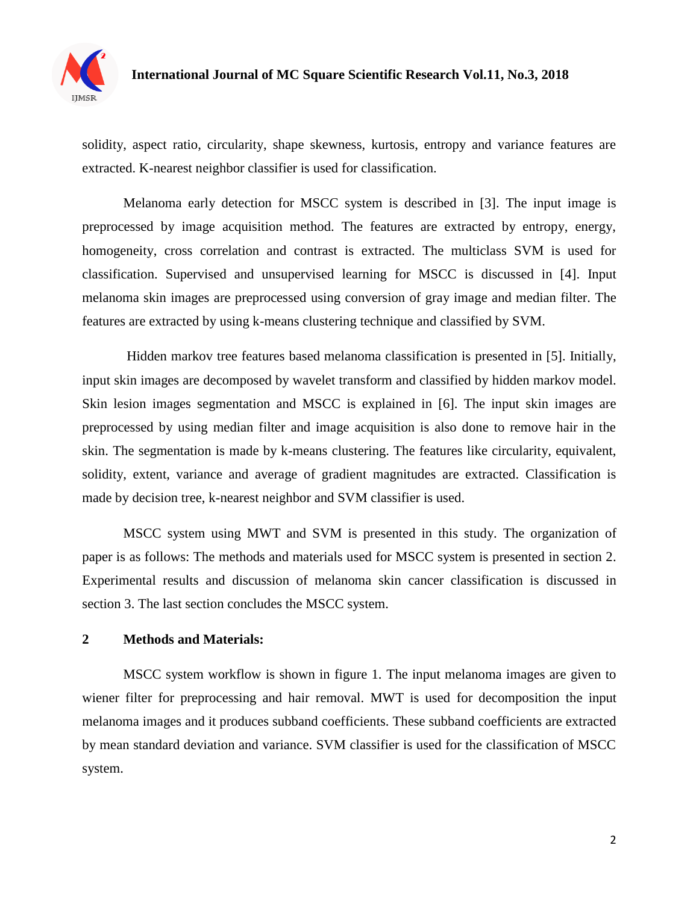

# **International Journal of MC Square Scientific Research Vol.11, No.3, 2018**

solidity, aspect ratio, circularity, shape skewness, kurtosis, entropy and variance features are extracted. K-nearest neighbor classifier is used for classification.

Melanoma early detection for MSCC system is described in [3]. The input image is preprocessed by image acquisition method. The features are extracted by entropy, energy, homogeneity, cross correlation and contrast is extracted. The multiclass SVM is used for classification. Supervised and unsupervised learning for MSCC is discussed in [4]. Input melanoma skin images are preprocessed using conversion of gray image and median filter. The features are extracted by using k-means clustering technique and classified by SVM.

Hidden markov tree features based melanoma classification is presented in [5]. Initially, input skin images are decomposed by wavelet transform and classified by hidden markov model. Skin lesion images segmentation and MSCC is explained in [6]. The input skin images are preprocessed by using median filter and image acquisition is also done to remove hair in the skin. The segmentation is made by k-means clustering. The features like circularity, equivalent, solidity, extent, variance and average of gradient magnitudes are extracted. Classification is made by decision tree, k-nearest neighbor and SVM classifier is used.

MSCC system using MWT and SVM is presented in this study. The organization of paper is as follows: The methods and materials used for MSCC system is presented in section 2. Experimental results and discussion of melanoma skin cancer classification is discussed in section 3. The last section concludes the MSCC system.

#### **2 Methods and Materials:**

MSCC system workflow is shown in figure 1. The input melanoma images are given to wiener filter for preprocessing and hair removal. MWT is used for decomposition the input melanoma images and it produces subband coefficients. These subband coefficients are extracted by mean standard deviation and variance. SVM classifier is used for the classification of MSCC system.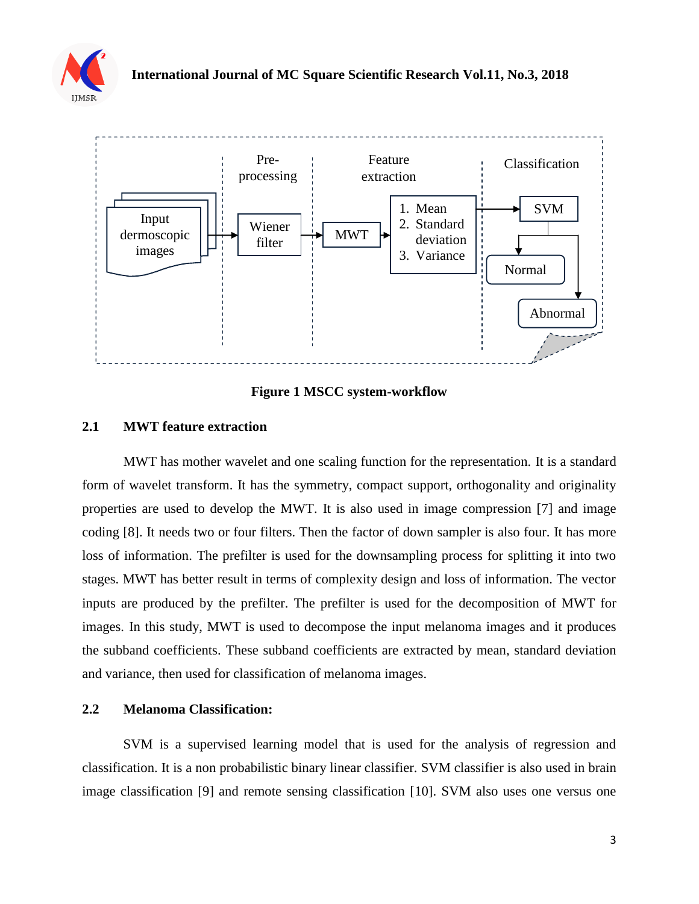



**Figure 1 MSCC system-workflow**

### **2.1 MWT feature extraction**

MWT has mother wavelet and one scaling function for the representation. It is a standard form of wavelet transform. It has the symmetry, compact support, orthogonality and originality properties are used to develop the MWT. It is also used in image compression [7] and image coding [8]. It needs two or four filters. Then the factor of down sampler is also four. It has more loss of information. The prefilter is used for the downsampling process for splitting it into two stages. MWT has better result in terms of complexity design and loss of information. The vector inputs are produced by the prefilter. The prefilter is used for the decomposition of MWT for images. In this study, MWT is used to decompose the input melanoma images and it produces the subband coefficients. These subband coefficients are extracted by mean, standard deviation and variance, then used for classification of melanoma images.

### **2.2 Melanoma Classification:**

SVM is a supervised learning model that is used for the analysis of regression and classification. It is a non probabilistic binary linear classifier. SVM classifier is also used in brain image classification [9] and remote sensing classification [10]. SVM also uses one versus one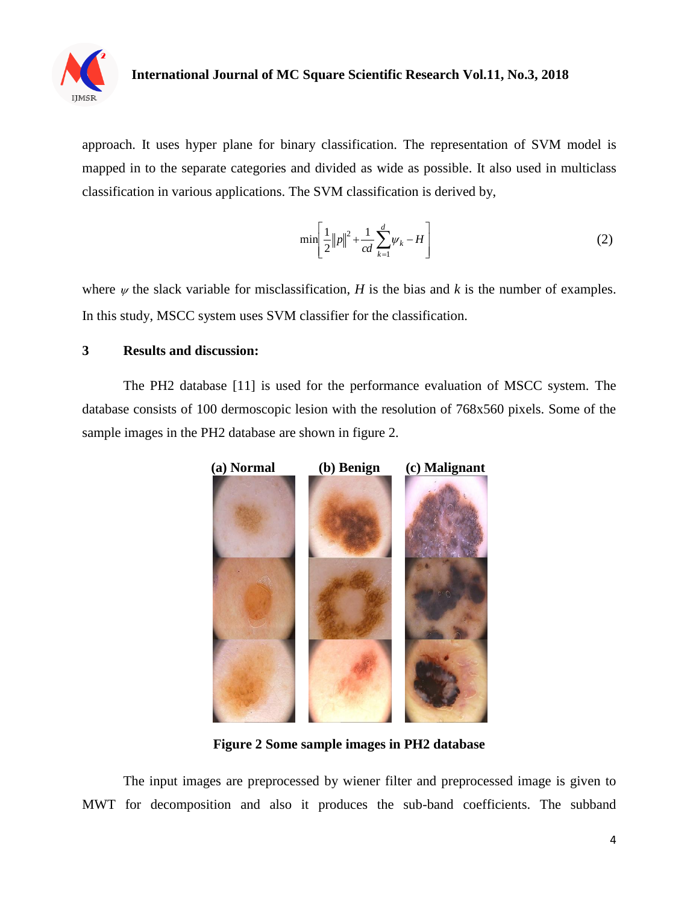

# **International Journal of MC Square Scientific Research Vol.11, No.3, 2018**

approach. It uses hyper plane for binary classification. The representation of SVM model is mapped in to the separate categories and divided as wide as possible. It also used in multiclass classification in various applications. The SVM classification is derived by,

$$
\min\left[\frac{1}{2}\|p\|^2 + \frac{1}{cd}\sum_{k=1}^d \psi_k - H\right]
$$
 (2)

where  $\psi$  the slack variable for misclassification, *H* is the bias and *k* is the number of examples. In this study, MSCC system uses SVM classifier for the classification.

#### **3 Results and discussion:**

The PH2 database [11] is used for the performance evaluation of MSCC system. The database consists of 100 dermoscopic lesion with the resolution of 768x560 pixels. Some of the sample images in the PH2 database are shown in figure 2.



**Figure 2 Some sample images in PH2 database**

The input images are preprocessed by wiener filter and preprocessed image is given to MWT for decomposition and also it produces the sub-band coefficients. The subband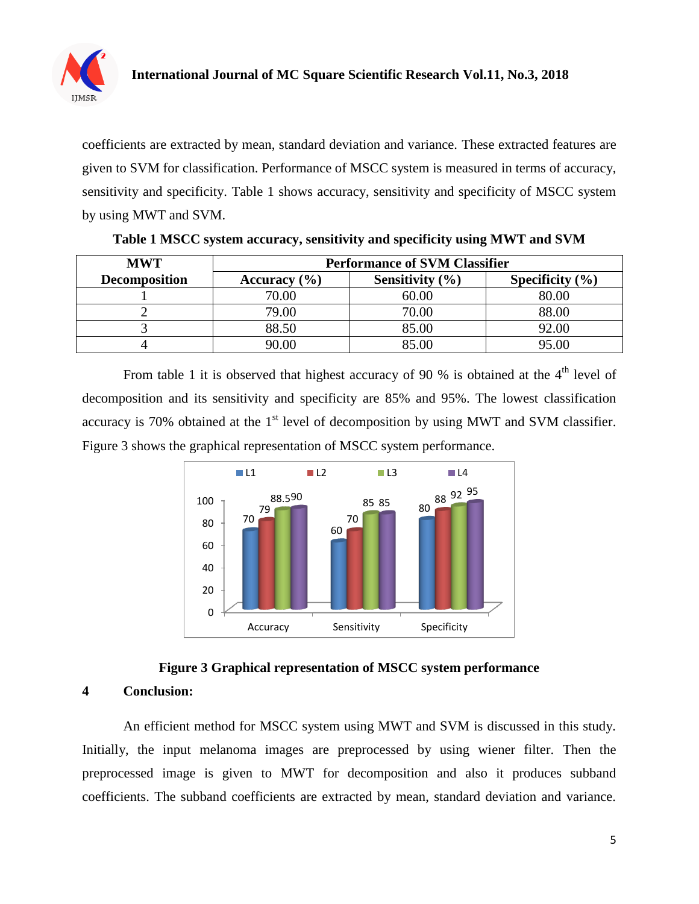

coefficients are extracted by mean, standard deviation and variance. These extracted features are given to SVM for classification. Performance of MSCC system is measured in terms of accuracy, sensitivity and specificity. Table 1 shows accuracy, sensitivity and specificity of MSCC system by using MWT and SVM.

| <b>MWT</b>           | <b>Performance of SVM Classifier</b> |                     |                     |  |  |  |
|----------------------|--------------------------------------|---------------------|---------------------|--|--|--|
| <b>Decomposition</b> | Accuracy $(\% )$                     | Sensitivity $(\% )$ | Specificity $(\% )$ |  |  |  |
|                      | 70.00                                | 60.00               | 80.00               |  |  |  |
|                      | 79.00                                | 70.00               | 88.00               |  |  |  |
|                      | 88.50                                | 85.00               | 92.00               |  |  |  |
|                      | 90.00                                | 85.00               | 95.00               |  |  |  |

|  | Table 1 MSCC system accuracy, sensitivity and specificity using MWT and SVM |  |  |  |
|--|-----------------------------------------------------------------------------|--|--|--|
|  |                                                                             |  |  |  |

From table 1 it is observed that highest accuracy of 90 % is obtained at the  $4<sup>th</sup>$  level of decomposition and its sensitivity and specificity are 85% and 95%. The lowest classification accuracy is 70% obtained at the  $1<sup>st</sup>$  level of decomposition by using MWT and SVM classifier. Figure 3 shows the graphical representation of MSCC system performance.





#### **4 Conclusion:**

An efficient method for MSCC system using MWT and SVM is discussed in this study. Initially, the input melanoma images are preprocessed by using wiener filter. Then the preprocessed image is given to MWT for decomposition and also it produces subband coefficients. The subband coefficients are extracted by mean, standard deviation and variance.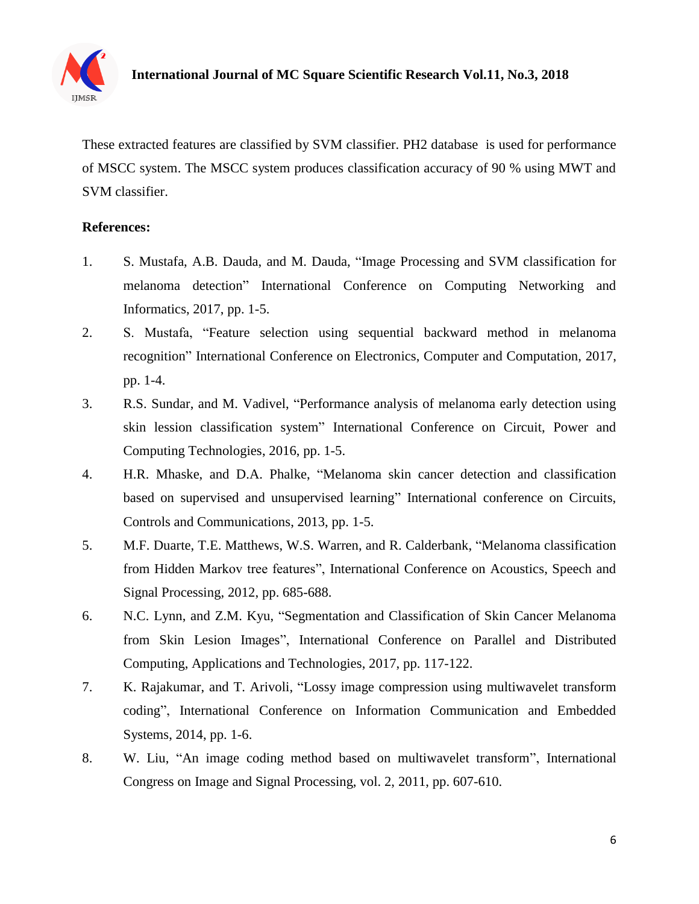

These extracted features are classified by SVM classifier. PH2 database is used for performance of MSCC system. The MSCC system produces classification accuracy of 90 % using MWT and SVM classifier.

#### **References:**

- 1. S. Mustafa, A.B. Dauda, and M. Dauda, "Image Processing and SVM classification for melanoma detection" International Conference on Computing Networking and Informatics, 2017, pp. 1-5.
- 2. S. Mustafa, "Feature selection using sequential backward method in melanoma recognition" International Conference on Electronics, Computer and Computation, 2017, pp. 1-4.
- 3. R.S. Sundar, and M. Vadivel, "Performance analysis of melanoma early detection using skin lession classification system" International Conference on Circuit, Power and Computing Technologies, 2016, pp. 1-5.
- 4. H.R. Mhaske, and D.A. Phalke, "Melanoma skin cancer detection and classification based on supervised and unsupervised learning" International conference on Circuits, Controls and Communications, 2013, pp. 1-5.
- 5. M.F. Duarte, T.E. Matthews, W.S. Warren, and R. Calderbank, "Melanoma classification from Hidden Markov tree features", International Conference on Acoustics, Speech and Signal Processing, 2012, pp. 685-688.
- 6. N.C. Lynn, and Z.M. Kyu, "Segmentation and Classification of Skin Cancer Melanoma from Skin Lesion Images", International Conference on Parallel and Distributed Computing, Applications and Technologies, 2017, pp. 117-122.
- 7. K. Rajakumar, and T. Arivoli, "Lossy image compression using multiwavelet transform coding", International Conference on Information Communication and Embedded Systems, 2014, pp. 1-6.
- 8. W. Liu, "An image coding method based on multiwavelet transform", International Congress on Image and Signal Processing, vol. 2, 2011, pp. 607-610.